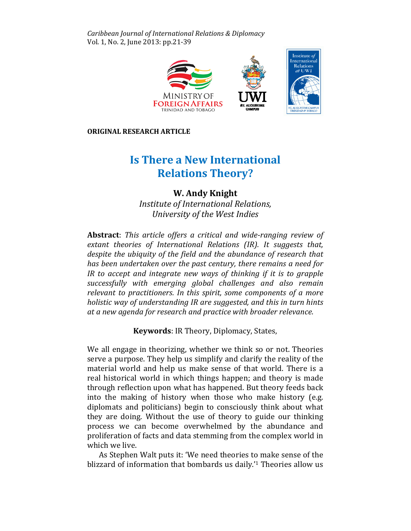Caribbean Journal of International Relations & Diplomacy Vol. 1, No. 2, June 2013: pp.21-39



ORIGINAL RESEARCH ARTICLE

# Is There a New International Is Relations Relations Theory?

# W. Andy Knight

Institute of International Relations, University of the West Indies University

Abstract: This article offers a critical and wide-ranging review of extant theories of International Relations (IR). It suggests that, despite the ubiquity of the field and the abundance of research that that has been undertaken over the past century, there remains a need for for IR to accept and integrate new ways of thinking if it is to grapple successfully with emerging global challenges and also remain relevant to practitioners. In this spirit, some components of a more more holistic way of understanding IR are suggested, and this in turn hints at a new agenda for research and practice with broader relevance.

Keywords: IR Theory, Diplomacy, States,

We all engage in theorizing, whether we think so or not. Theories serve a purpose. They help us simplify and clarify the reality of the material world and help us make sense of that world. There is a real historical world in which things happen; and theory is made through reflection upon what has happened. But theory feeds back into the making of history when those who make history (e.g. diplomats and politicians) begin to consciously think about what what they are doing. Without the use of theory to guide our t thinking process we can become overwhelmed by the abundance and proliferation of facts and data stemming from the complex world in which we live.

As Stephen Walt puts it: 'We need theories to make sense of the blizzard of information that bombards us daily.'1 Theories allow us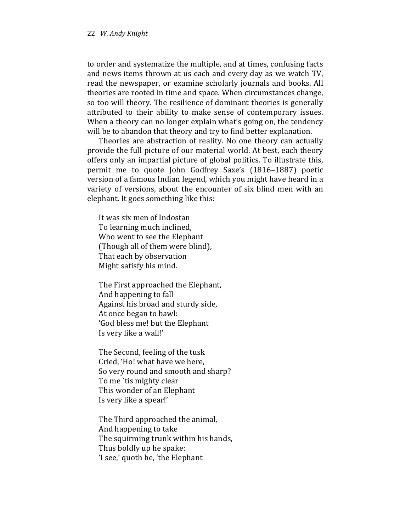to order and systematize the multiple, and at times, confusing facts and news items thrown at us each and every day as we watch TV, read the newspaper, or examine scholarly journals and books. All theories are rooted in time and space. When circumstances change, so too will theory. The resilience of dominant theories is generally attributed to their ability to make sense of contemporary issues. When a theory can no longer explain what's going on, the tendency will be to abandon that theory and try to find better explanation.

Theories are abstraction of reality. No one theory can actually provide the full picture of our material world. At best, each theory offers only an impartial picture of global politics. To illustrate this, permit me to quote John Godfrey Saxe's (1816–1887) poetic version of a famous Indian legend, which you might have heard in a variety of versions, about the encounter of six blind men with an elephant. It goes something like this:

It was six men of Indostan To learning much inclined, Who went to see the Elephant (Though all of them were blind), That each by observation Might satisfy his mind.

The First approached the Elephant, And happening to fall Against his broad and sturdy side, At once began to bawl: 'God bless me! but the Elephant Is very like a wall!'

The Second, feeling of the tusk Cried, 'Ho! what have we here, So very round and smooth and sharp? To me `tis mighty clear This wonder of an Elephant Is very like a spear!'

The Third approached the animal, And happening to take The squirming trunk within his hands, Thus boldly up he spake: 'I see,' quoth he, 'the Elephant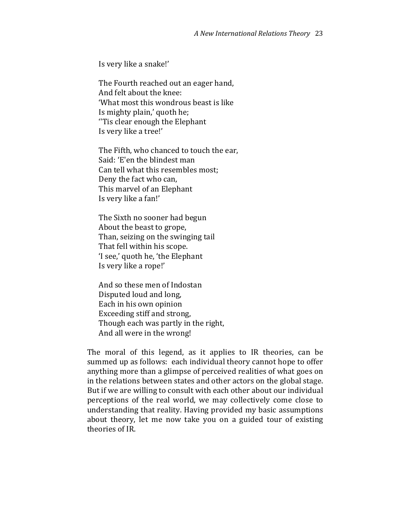Is very like a snake!'

The Fourth reached out an eager hand, And felt about the knee: 'What most this wondrous beast is like Is mighty plain,' quoth he; ''Tis clear enough the Elephant Is very like a tree!'

The Fifth, who chanced to touch the ear, Said: 'E'en the blindest man Can tell what this resembles most; Deny the fact who can, This marvel of an Elephant Is very like a fan!'

The Sixth no sooner had begun About the beast to grope, Than, seizing on the swinging tail That fell within his scope. 'I see,' quoth he, 'the Elephant Is very like a rope!'

And so these men of Indostan Disputed loud and long, Each in his own opinion Exceeding stiff and strong, Though each was partly in the right, And all were in the wrong!

The moral of this legend, as it applies to IR theories, can be summed up as follows: each individual theory cannot hope to offer anything more than a glimpse of perceived realities of what goes on in the relations between states and other actors on the global stage. But if we are willing to consult with each other about our individual perceptions of the real world, we may collectively come close to understanding that reality. Having provided my basic assumptions about theory, let me now take you on a guided tour of existing theories of IR.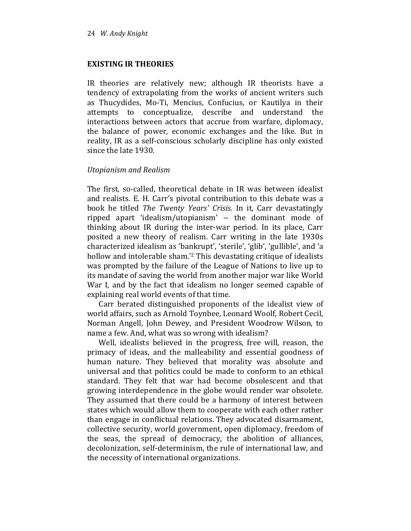## EXISTING IR THEORIES

IR theories are relatively new; although IR theorists have a tendency of extrapolating from the works of ancient writers such as Thucydides, Mo-Ti, Mencius, Confucius, or Kautilya in their attempts to conceptualize, describe and understand the interactions between actors that accrue from warfare, diplomacy, the balance of power, economic exchanges and the like. But in reality, IR as a self-conscious scholarly discipline has only existed since the late 1930.

## Utopianism and Realism

The first, so-called, theoretical debate in IR was between idealist and realists. E. H. Carr's pivotal contribution to this debate was a book he titled The Twenty Years' Crisis. In it, Carr devastatingly ripped apart 'idealism/utopianism' -- the dominant mode of thinking about IR during the inter-war period. In its place, Carr posited a new theory of realism. Carr writing in the late 1930s characterized idealism as 'bankrupt', 'sterile', 'glib', 'gullible', and 'a hollow and intolerable sham.'2 This devastating critique of idealists was prompted by the failure of the League of Nations to live up to its mandate of saving the world from another major war like World War I, and by the fact that idealism no longer seemed capable of explaining real world events of that time.

Carr berated distinguished proponents of the idealist view of world affairs, such as Arnold Toynbee, Leonard Woolf, Robert Cecil, Norman Angell, John Dewey, and President Woodrow Wilson, to name a few. And, what was so wrong with idealism?

Well, idealists believed in the progress, free will, reason, the primacy of ideas, and the malleability and essential goodness of human nature. They believed that morality was absolute and universal and that politics could be made to conform to an ethical standard. They felt that war had become obsolescent and that growing interdependence in the globe would render war obsolete. They assumed that there could be a harmony of interest between states which would allow them to cooperate with each other rather than engage in conflictual relations. They advocated disarmament, collective security, world government, open diplomacy, freedom of the seas, the spread of democracy, the abolition of alliances, decolonization, self-determinism, the rule of international law, and the necessity of international organizations.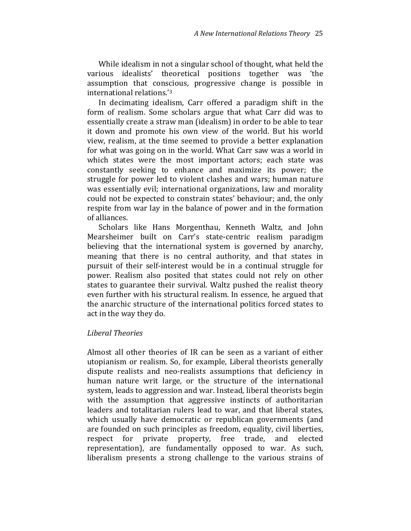While idealism in not a singular school of thought, what held the various idealists' theoretical positions together was 'the assumption that conscious, progressive change is possible in international relations.'<sup>3</sup>

In decimating idealism, Carr offered a paradigm shift in the form of realism. Some scholars argue that what Carr did was to essentially create a straw man (idealism) in order to be able to tear it down and promote his own view of the world. But his world view, realism, at the time seemed to provide a better explanation for what was going on in the world. What Carr saw was a world in which states were the most important actors; each state was constantly seeking to enhance and maximize its power; the struggle for power led to violent clashes and wars; human nature was essentially evil; international organizations, law and morality could not be expected to constrain states' behaviour; and, the only respite from war lay in the balance of power and in the formation of alliances.

Scholars like Hans Morgenthau, Kenneth Waltz, and John Mearsheimer built on Carr's state-centric realism paradigm believing that the international system is governed by anarchy, meaning that there is no central authority, and that states in pursuit of their self-interest would be in a continual struggle for power. Realism also posited that states could not rely on other states to guarantee their survival. Waltz pushed the realist theory even further with his structural realism. In essence, he argued that the anarchic structure of the international politics forced states to act in the way they do.

### Liberal Theories

Almost all other theories of IR can be seen as a variant of either utopianism or realism. So, for example, Liberal theorists generally dispute realists and neo-realists assumptions that deficiency in human nature writ large, or the structure of the international system, leads to aggression and war. Instead, liberal theorists begin with the assumption that aggressive instincts of authoritarian leaders and totalitarian rulers lead to war, and that liberal states, which usually have democratic or republican governments (and are founded on such principles as freedom, equality, civil liberties, respect for private property, free trade, and elected representation), are fundamentally opposed to war. As such, liberalism presents a strong challenge to the various strains of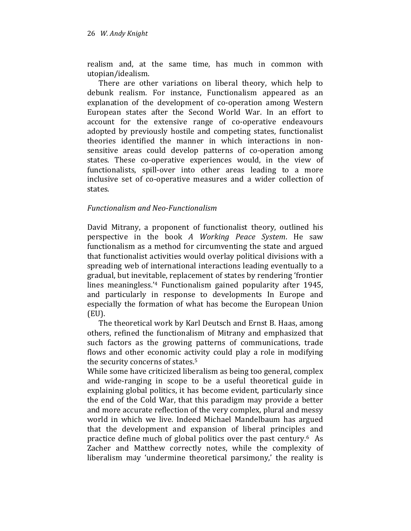realism and, at the same time, has much in common with utopian/idealism.

There are other variations on liberal theory, which help to debunk realism. For instance, Functionalism appeared as an explanation of the development of co-operation among Western European states after the Second World War. In an effort to account for the extensive range of co-operative endeavours adopted by previously hostile and competing states, functionalist theories identified the manner in which interactions in nonsensitive areas could develop patterns of co-operation among states. These co-operative experiences would, in the view of functionalists, spill-over into other areas leading to a more inclusive set of co-operative measures and a wider collection of states.

## Functionalism and Neo-Functionalism

David Mitrany, a proponent of functionalist theory, outlined his perspective in the book A Working Peace System. He saw functionalism as a method for circumventing the state and argued that functionalist activities would overlay political divisions with a spreading web of international interactions leading eventually to a gradual, but inevitable, replacement of states by rendering 'frontier lines meaningless.'4 Functionalism gained popularity after 1945, and particularly in response to developments In Europe and especially the formation of what has become the European Union (EU).

The theoretical work by Karl Deutsch and Ernst B. Haas, among others, refined the functionalism of Mitrany and emphasized that such factors as the growing patterns of communications, trade flows and other economic activity could play a role in modifying the security concerns of states.<sup>5</sup>

While some have criticized liberalism as being too general, complex and wide-ranging in scope to be a useful theoretical guide in explaining global politics, it has become evident, particularly since the end of the Cold War, that this paradigm may provide a better and more accurate reflection of the very complex, plural and messy world in which we live. Indeed Michael Mandelbaum has argued that the development and expansion of liberal principles and practice define much of global politics over the past century.6 As Zacher and Matthew correctly notes, while the complexity of liberalism may 'undermine theoretical parsimony,' the reality is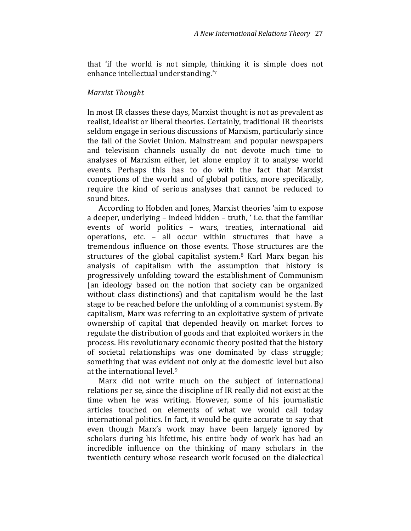that 'if the world is not simple, thinking it is simple does not enhance intellectual understanding.'<sup>7</sup>

## Marxist Thought

In most IR classes these days, Marxist thought is not as prevalent as realist, idealist or liberal theories. Certainly, traditional IR theorists seldom engage in serious discussions of Marxism, particularly since the fall of the Soviet Union. Mainstream and popular newspapers and television channels usually do not devote much time to analyses of Marxism either, let alone employ it to analyse world events. Perhaps this has to do with the fact that Marxist conceptions of the world and of global politics, more specifically, require the kind of serious analyses that cannot be reduced to sound bites.

According to Hobden and Jones, Marxist theories 'aim to expose a deeper, underlying – indeed hidden – truth, ' i.e. that the familiar events of world politics – wars, treaties, international aid operations, etc. – all occur within structures that have a tremendous influence on those events. Those structures are the structures of the global capitalist system.<sup>8</sup> Karl Marx began his analysis of capitalism with the assumption that history is progressively unfolding toward the establishment of Communism (an ideology based on the notion that society can be organized without class distinctions) and that capitalism would be the last stage to be reached before the unfolding of a communist system. By capitalism, Marx was referring to an exploitative system of private ownership of capital that depended heavily on market forces to regulate the distribution of goods and that exploited workers in the process. His revolutionary economic theory posited that the history of societal relationships was one dominated by class struggle; something that was evident not only at the domestic level but also at the international level.<sup>9</sup>

Marx did not write much on the subject of international relations per se, since the discipline of IR really did not exist at the time when he was writing. However, some of his journalistic articles touched on elements of what we would call today international politics. In fact, it would be quite accurate to say that even though Marx's work may have been largely ignored by scholars during his lifetime, his entire body of work has had an incredible influence on the thinking of many scholars in the twentieth century whose research work focused on the dialectical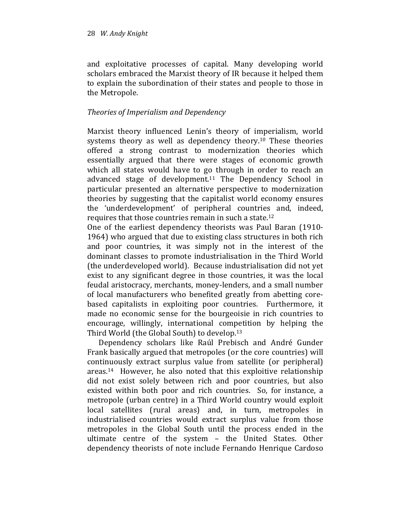and exploitative processes of capital. Many developing world scholars embraced the Marxist theory of IR because it helped them to explain the subordination of their states and people to those in the Metropole.

# Theories of Imperialism and Dependency

Marxist theory influenced Lenin's theory of imperialism, world systems theory as well as dependency theory.<sup>10</sup> These theories offered a strong contrast to modernization theories which essentially argued that there were stages of economic growth which all states would have to go through in order to reach an advanced stage of development.<sup>11</sup> The Dependency School in particular presented an alternative perspective to modernization theories by suggesting that the capitalist world economy ensures the 'underdevelopment' of peripheral countries and, indeed, requires that those countries remain in such a state.<sup>12</sup>

One of the earliest dependency theorists was Paul Baran (1910- 1964) who argued that due to existing class structures in both rich and poor countries, it was simply not in the interest of the dominant classes to promote industrialisation in the Third World (the underdeveloped world). Because industrialisation did not yet exist to any significant degree in those countries, it was the local feudal aristocracy, merchants, money-lenders, and a small number of local manufacturers who benefited greatly from abetting corebased capitalists in exploiting poor countries. Furthermore, it made no economic sense for the bourgeoisie in rich countries to encourage, willingly, international competition by helping the Third World (the Global South) to develop.<sup>13</sup>

Dependency scholars like Raúl Prebisch and André Gunder Frank basically argued that metropoles (or the core countries) will continuously extract surplus value from satellite (or peripheral) areas.14 However, he also noted that this exploitive relationship did not exist solely between rich and poor countries, but also existed within both poor and rich countries. So, for instance, a metropole (urban centre) in a Third World country would exploit local satellites (rural areas) and, in turn, metropoles in industrialised countries would extract surplus value from those metropoles in the Global South until the process ended in the ultimate centre of the system – the United States. Other dependency theorists of note include Fernando Henrique Cardoso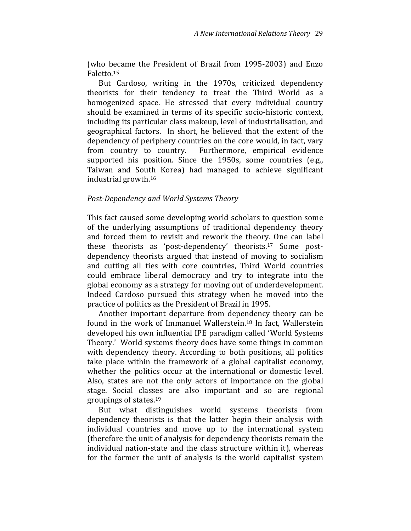(who became the President of Brazil from 1995-2003) and Enzo Faletto.<sup>15</sup>

But Cardoso, writing in the 1970s, criticized dependency theorists for their tendency to treat the Third World as a homogenized space. He stressed that every individual country should be examined in terms of its specific socio-historic context, including its particular class makeup, level of industrialisation, and geographical factors. In short, he believed that the extent of the dependency of periphery countries on the core would, in fact, vary from country to country. Furthermore, empirical evidence supported his position. Since the 1950s, some countries (e.g., Taiwan and South Korea) had managed to achieve significant industrial growth.<sup>16</sup>

### Post-Dependency and World Systems Theory

This fact caused some developing world scholars to question some of the underlying assumptions of traditional dependency theory and forced them to revisit and rework the theory. One can label these theorists as 'post-dependency' theorists.17 Some postdependency theorists argued that instead of moving to socialism and cutting all ties with core countries, Third World countries could embrace liberal democracy and try to integrate into the global economy as a strategy for moving out of underdevelopment. Indeed Cardoso pursued this strategy when he moved into the practice of politics as the President of Brazil in 1995.

Another important departure from dependency theory can be found in the work of Immanuel Wallerstein.18 In fact, Wallerstein developed his own influential IPE paradigm called 'World Systems Theory.' World systems theory does have some things in common with dependency theory. According to both positions, all politics take place within the framework of a global capitalist economy, whether the politics occur at the international or domestic level. Also, states are not the only actors of importance on the global stage. Social classes are also important and so are regional groupings of states.<sup>19</sup>

But what distinguishes world systems theorists from dependency theorists is that the latter begin their analysis with individual countries and move up to the international system (therefore the unit of analysis for dependency theorists remain the individual nation-state and the class structure within it), whereas for the former the unit of analysis is the world capitalist system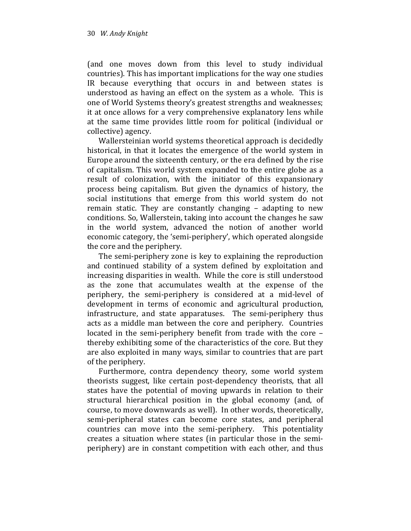(and one moves down from this level to study individual countries). This has important implications for the way one studies IR because everything that occurs in and between states is understood as having an effect on the system as a whole. This is one of World Systems theory's greatest strengths and weaknesses; it at once allows for a very comprehensive explanatory lens while at the same time provides little room for political (individual or collective) agency.

Wallersteinian world systems theoretical approach is decidedly historical, in that it locates the emergence of the world system in Europe around the sixteenth century, or the era defined by the rise of capitalism. This world system expanded to the entire globe as a result of colonization, with the initiator of this expansionary process being capitalism. But given the dynamics of history, the social institutions that emerge from this world system do not remain static. They are constantly changing – adapting to new conditions. So, Wallerstein, taking into account the changes he saw in the world system, advanced the notion of another world economic category, the 'semi-periphery', which operated alongside the core and the periphery.

The semi-periphery zone is key to explaining the reproduction and continued stability of a system defined by exploitation and increasing disparities in wealth. While the core is still understood as the zone that accumulates wealth at the expense of the periphery, the semi-periphery is considered at a mid-level of development in terms of economic and agricultural production, infrastructure, and state apparatuses. The semi-periphery thus acts as a middle man between the core and periphery. Countries located in the semi-periphery benefit from trade with the core – thereby exhibiting some of the characteristics of the core. But they are also exploited in many ways, similar to countries that are part of the periphery.

Furthermore, contra dependency theory, some world system theorists suggest, like certain post-dependency theorists, that all states have the potential of moving upwards in relation to their structural hierarchical position in the global economy (and, of course, to move downwards as well). In other words, theoretically, semi-peripheral states can become core states, and peripheral countries can move into the semi-periphery. This potentiality creates a situation where states (in particular those in the semiperiphery) are in constant competition with each other, and thus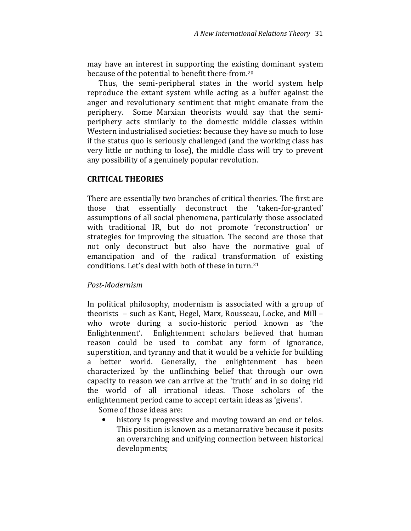may have an interest in supporting the existing dominant system because of the potential to benefit there-from.<sup>20</sup>

Thus, the semi-peripheral states in the world system help reproduce the extant system while acting as a buffer against the anger and revolutionary sentiment that might emanate from the periphery. Some Marxian theorists would say that the semiperiphery acts similarly to the domestic middle classes within Western industrialised societies: because they have so much to lose if the status quo is seriously challenged (and the working class has very little or nothing to lose), the middle class will try to prevent any possibility of a genuinely popular revolution.

## CRITICAL THEORIES

There are essentially two branches of critical theories. The first are those that essentially deconstruct the 'taken-for-granted' assumptions of all social phenomena, particularly those associated with traditional IR, but do not promote 'reconstruction' or strategies for improving the situation. The second are those that not only deconstruct but also have the normative goal of emancipation and of the radical transformation of existing conditions. Let's deal with both of these in turn.<sup>21</sup>

## Post-Modernism

In political philosophy, modernism is associated with a group of theorists – such as Kant, Hegel, Marx, Rousseau, Locke, and Mill – who wrote during a socio-historic period known as 'the Enlightenment'. Enlightenment scholars believed that human reason could be used to combat any form of ignorance, superstition, and tyranny and that it would be a vehicle for building a better world. Generally, the enlightenment has been characterized by the unflinching belief that through our own capacity to reason we can arrive at the 'truth' and in so doing rid the world of all irrational ideas. Those scholars of the enlightenment period came to accept certain ideas as 'givens'.

Some of those ideas are:

history is progressive and moving toward an end or telos. This position is known as a metanarrative because it posits an overarching and unifying connection between historical developments;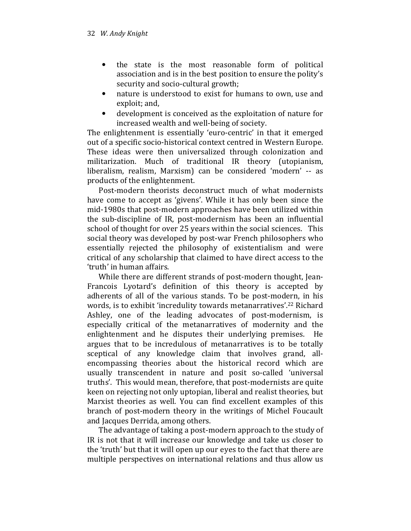- the state is the most reasonable form of political association and is in the best position to ensure the polity's security and socio-cultural growth;
- nature is understood to exist for humans to own, use and exploit; and,
- development is conceived as the exploitation of nature for increased wealth and well-being of society.

The enlightenment is essentially 'euro-centric' in that it emerged out of a specific socio-historical context centred in Western Europe. These ideas were then universalized through colonization and militarization. Much of traditional IR theory (utopianism, liberalism, realism, Marxism) can be considered 'modern' -- as products of the enlightenment.

Post-modern theorists deconstruct much of what modernists have come to accept as 'givens'. While it has only been since the mid-1980s that post-modern approaches have been utilized within the sub-discipline of IR, post-modernism has been an influential school of thought for over 25 years within the social sciences. This social theory was developed by post-war French philosophers who essentially rejected the philosophy of existentialism and were critical of any scholarship that claimed to have direct access to the 'truth' in human affairs.

While there are different strands of post-modern thought, Jean-Francois Lyotard's definition of this theory is accepted by adherents of all of the various stands. To be post-modern, in his words, is to exhibit 'incredulity towards metanarratives'.<sup>22</sup> Richard Ashley, one of the leading advocates of post-modernism, is especially critical of the metanarratives of modernity and the enlightenment and he disputes their underlying premises. He argues that to be incredulous of metanarratives is to be totally sceptical of any knowledge claim that involves grand, allencompassing theories about the historical record which are usually transcendent in nature and posit so-called 'universal truths'. This would mean, therefore, that post-modernists are quite keen on rejecting not only uptopian, liberal and realist theories, but Marxist theories as well. You can find excellent examples of this branch of post-modern theory in the writings of Michel Foucault and Jacques Derrida, among others.

The advantage of taking a post-modern approach to the study of IR is not that it will increase our knowledge and take us closer to the 'truth' but that it will open up our eyes to the fact that there are multiple perspectives on international relations and thus allow us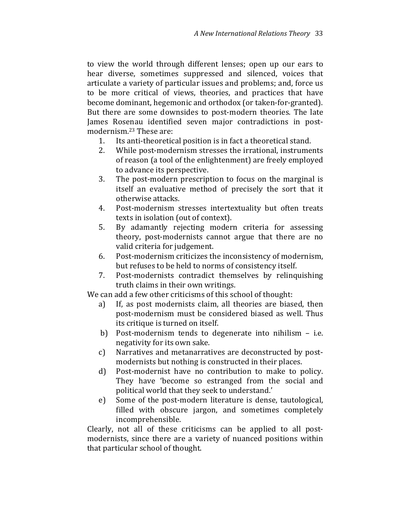to view the world through different lenses; open up our ears to hear diverse, sometimes suppressed and silenced, voices that articulate a variety of particular issues and problems; and, force us to be more critical of views, theories, and practices that have become dominant, hegemonic and orthodox (or taken-for-granted). But there are some downsides to post-modern theories. The late James Rosenau identified seven major contradictions in postmodernism.23 These are:

- 1. Its anti-theoretical position is in fact a theoretical stand.
- 2. While post-modernism stresses the irrational, instruments of reason (a tool of the enlightenment) are freely employed to advance its perspective.
- 3. The post-modern prescription to focus on the marginal is itself an evaluative method of precisely the sort that it otherwise attacks.
- 4. Post-modernism stresses intertextuality but often treats texts in isolation (out of context).
- 5. By adamantly rejecting modern criteria for assessing theory, post-modernists cannot argue that there are no valid criteria for judgement.
- 6. Post-modernism criticizes the inconsistency of modernism, but refuses to be held to norms of consistency itself.
- 7. Post-modernists contradict themselves by relinquishing truth claims in their own writings.

We can add a few other criticisms of this school of thought:

- a) If, as post modernists claim, all theories are biased, then post-modernism must be considered biased as well. Thus its critique is turned on itself.
- b) Post-modernism tends to degenerate into nihilism i.e. negativity for its own sake.
- c) Narratives and metanarratives are deconstructed by postmodernists but nothing is constructed in their places.
- d) Post-modernist have no contribution to make to policy. They have 'become so estranged from the social and political world that they seek to understand.'
- e) Some of the post-modern literature is dense, tautological, filled with obscure jargon, and sometimes completely incomprehensible.

Clearly, not all of these criticisms can be applied to all postmodernists, since there are a variety of nuanced positions within that particular school of thought.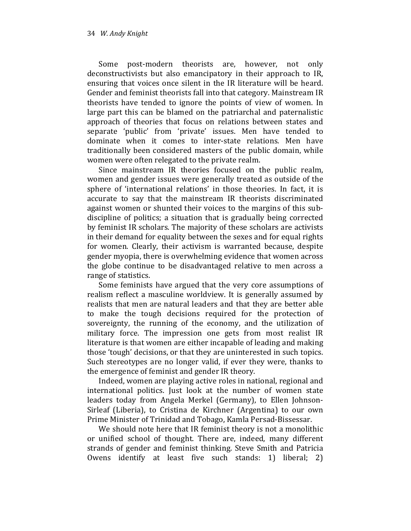Some post-modern theorists are, however, not only deconstructivists but also emancipatory in their approach to IR, ensuring that voices once silent in the IR literature will be heard. Gender and feminist theorists fall into that category. Mainstream IR theorists have tended to ignore the points of view of women. In large part this can be blamed on the patriarchal and paternalistic approach of theories that focus on relations between states and separate 'public' from 'private' issues. Men have tended to dominate when it comes to inter-state relations. Men have traditionally been considered masters of the public domain, while women were often relegated to the private realm.

Since mainstream IR theories focused on the public realm, women and gender issues were generally treated as outside of the sphere of 'international relations' in those theories. In fact, it is accurate to say that the mainstream IR theorists discriminated against women or shunted their voices to the margins of this subdiscipline of politics; a situation that is gradually being corrected by feminist IR scholars. The majority of these scholars are activists in their demand for equality between the sexes and for equal rights for women. Clearly, their activism is warranted because, despite gender myopia, there is overwhelming evidence that women across the globe continue to be disadvantaged relative to men across a range of statistics.

Some feminists have argued that the very core assumptions of realism reflect a masculine worldview. It is generally assumed by realists that men are natural leaders and that they are better able to make the tough decisions required for the protection of sovereignty, the running of the economy, and the utilization of military force. The impression one gets from most realist IR literature is that women are either incapable of leading and making those 'tough' decisions, or that they are uninterested in such topics. Such stereotypes are no longer valid, if ever they were, thanks to the emergence of feminist and gender IR theory.

Indeed, women are playing active roles in national, regional and international politics. Just look at the number of women state leaders today from Angela Merkel (Germany), to Ellen Johnson-Sirleaf (Liberia), to Cristina de Kirchner (Argentina) to our own Prime Minister of Trinidad and Tobago, Kamla Persad-Bissessar.

We should note here that IR feminist theory is not a monolithic or unified school of thought. There are, indeed, many different strands of gender and feminist thinking. Steve Smith and Patricia Owens identify at least five such stands: 1) liberal; 2)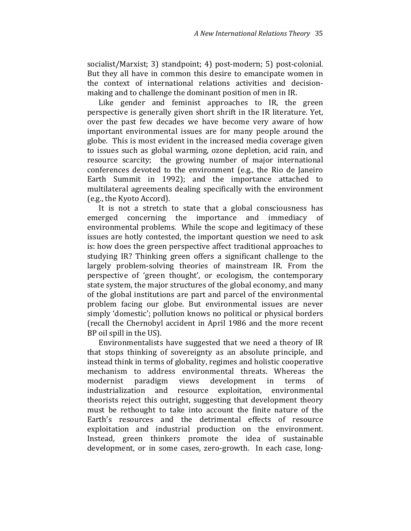socialist/Marxist; 3) standpoint; 4) post-modern; 5) post-colonial. But they all have in common this desire to emancipate women in the context of international relations activities and decisionmaking and to challenge the dominant position of men in IR.

Like gender and feminist approaches to IR, the green perspective is generally given short shrift in the IR literature. Yet, over the past few decades we have become very aware of how important environmental issues are for many people around the globe. This is most evident in the increased media coverage given to issues such as global warming, ozone depletion, acid rain, and resource scarcity; the growing number of major international conferences devoted to the environment (e.g., the Rio de Janeiro Earth Summit in 1992); and the importance attached to multilateral agreements dealing specifically with the environment (e.g., the Kyoto Accord).

It is not a stretch to state that a global consciousness has emerged concerning the importance and immediacy of environmental problems. While the scope and legitimacy of these issues are hotly contested, the important question we need to ask is: how does the green perspective affect traditional approaches to studying IR? Thinking green offers a significant challenge to the largely problem-solving theories of mainstream IR. From the perspective of 'green thought', or ecologism, the contemporary state system, the major structures of the global economy, and many of the global institutions are part and parcel of the environmental problem facing our globe. But environmental issues are never simply 'domestic'; pollution knows no political or physical borders (recall the Chernobyl accident in April 1986 and the more recent BP oil spill in the US).

Environmentalists have suggested that we need a theory of IR that stops thinking of sovereignty as an absolute principle, and instead think in terms of globality, regimes and holistic cooperative mechanism to address environmental threats. Whereas the modernist paradigm views development in terms of industrialization and resource exploitation, environmental theorists reject this outright, suggesting that development theory must be rethought to take into account the finite nature of the Earth's resources and the detrimental effects of resource exploitation and industrial production on the environment. Instead, green thinkers promote the idea of sustainable development, or in some cases, zero-growth. In each case, long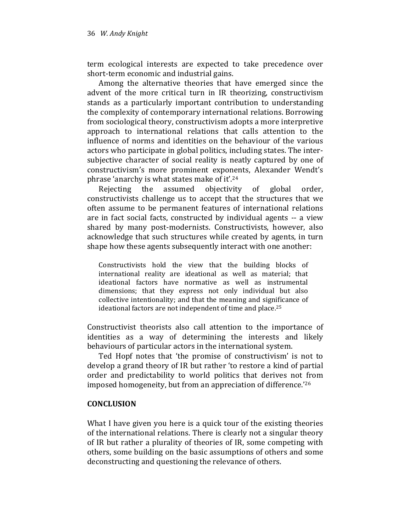term ecological interests are expected to take precedence over short-term economic and industrial gains.

Among the alternative theories that have emerged since the advent of the more critical turn in IR theorizing, constructivism stands as a particularly important contribution to understanding the complexity of contemporary international relations. Borrowing from sociological theory, constructivism adopts a more interpretive approach to international relations that calls attention to the influence of norms and identities on the behaviour of the various actors who participate in global politics, including states. The intersubjective character of social reality is neatly captured by one of constructivism's more prominent exponents, Alexander Wendt's phrase 'anarchy is what states make of it'.<sup>24</sup>

Rejecting the assumed objectivity of global order, constructivists challenge us to accept that the structures that we often assume to be permanent features of international relations are in fact social facts, constructed by individual agents -- a view shared by many post-modernists. Constructivists, however, also acknowledge that such structures while created by agents, in turn shape how these agents subsequently interact with one another:

Constructivists hold the view that the building blocks of international reality are ideational as well as material; that ideational factors have normative as well as instrumental dimensions; that they express not only individual but also collective intentionality; and that the meaning and significance of ideational factors are not independent of time and place.<sup>25</sup>

Constructivist theorists also call attention to the importance of identities as a way of determining the interests and likely behaviours of particular actors in the international system.

Ted Hopf notes that 'the promise of constructivism' is not to develop a grand theory of IR but rather 'to restore a kind of partial order and predictability to world politics that derives not from imposed homogeneity, but from an appreciation of difference.'<sup>26</sup>

## **CONCLUSION**

What I have given you here is a quick tour of the existing theories of the international relations. There is clearly not a singular theory of IR but rather a plurality of theories of IR, some competing with others, some building on the basic assumptions of others and some deconstructing and questioning the relevance of others.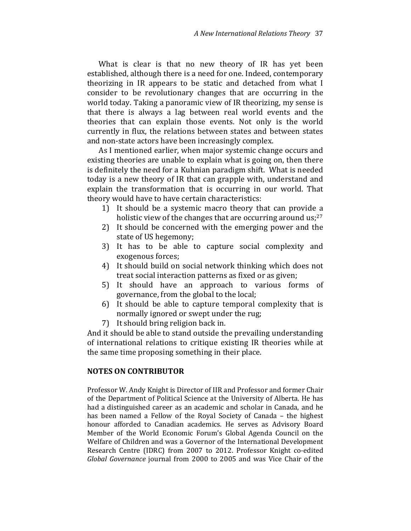What is clear is that no new theory of IR has yet been established, although there is a need for one. Indeed, contemporary theorizing in IR appears to be static and detached from what I consider to be revolutionary changes that are occurring in the world today. Taking a panoramic view of IR theorizing, my sense is that there is always a lag between real world events and the theories that can explain those events. Not only is the world currently in flux, the relations between states and between states and non-state actors have been increasingly complex.

As I mentioned earlier, when major systemic change occurs and existing theories are unable to explain what is going on, then there is definitely the need for a Kuhnian paradigm shift. What is needed today is a new theory of IR that can grapple with, understand and explain the transformation that is occurring in our world. That theory would have to have certain characteristics:

- 1) It should be a systemic macro theory that can provide a holistic view of the changes that are occurring around us;<sup>27</sup>
- 2) It should be concerned with the emerging power and the state of US hegemony;
- 3) It has to be able to capture social complexity and exogenous forces;
- 4) It should build on social network thinking which does not treat social interaction patterns as fixed or as given;
- 5) It should have an approach to various forms of governance, from the global to the local;
- 6) It should be able to capture temporal complexity that is normally ignored or swept under the rug;
- 7) It should bring religion back in.

And it should be able to stand outside the prevailing understanding of international relations to critique existing IR theories while at the same time proposing something in their place.

### NOTES ON CONTRIBUTOR

Professor W. Andy Knight is Director of IIR and Professor and former Chair of the Department of Political Science at the University of Alberta. He has had a distinguished career as an academic and scholar in Canada, and he has been named a Fellow of the Royal Society of Canada – the highest honour afforded to Canadian academics. He serves as Advisory Board Member of the World Economic Forum's Global Agenda Council on the Welfare of Children and was a Governor of the International Development Research Centre (IDRC) from 2007 to 2012. Professor Knight co-edited Global Governance journal from 2000 to 2005 and was Vice Chair of the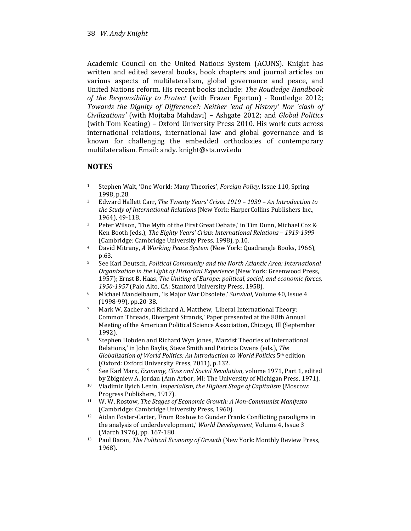Academic Council on the United Nations System (ACUNS). Knight has written and edited several books, book chapters and journal articles on various aspects of multilateralism, global governance and peace, and United Nations reform. His recent books include: The Routledge Handbook of the Responsibility to Protect (with Frazer Egerton) - Routledge 2012; Towards the Dignity of Difference?: Neither 'end of History' Nor 'clash of Civilizations' (with Mojtaba Mahdavi) – Ashgate 2012; and Global Politics (with Tom Keating) – Oxford University Press 2010. His work cuts across international relations, international law and global governance and is known for challenging the embedded orthodoxies of contemporary multilateralism. Email: andy. knight@sta.uwi.edu

## **NOTES**

- <sup>1</sup> Stephen Walt, 'One World: Many Theories', Foreign Policy, Issue 110, Spring 1998, p.28.
- <sup>2</sup> Edward Hallett Carr, The Twenty Years' Crisis: 1919 1939 An Introduction to the Study of International Relations (New York: HarperCollins Publishers Inc., 1964), 49-118.
- <sup>3</sup> Peter Wilson, 'The Myth of the First Great Debate,' in Tim Dunn, Michael Cox & Ken Booth (eds.), The Eighty Years' Crisis: International Relations – 1919-1999 (Cambridge: Cambridge University Press, 1998), p.10.
- 4 David Mitrany, A Working Peace System (New York: Quadrangle Books, 1966), p.63.
- <sup>5</sup> See Karl Deutsch, Political Community and the North Atlantic Area: International Organization in the Light of Historical Experience (New York: Greenwood Press, 1957); Ernst B. Haas, The Uniting of Europe: political, social, and economic forces, 1950-1957 (Palo Alto, CA: Stanford University Press, 1958).
- <sup>6</sup> Michael Mandelbaum, 'Is Major War Obsolete,' Survival, Volume 40, Issue 4 (1998-99), pp.20-38.
- <sup>7</sup> Mark W. Zacher and Richard A. Matthew, 'Liberal International Theory: Common Threads, Divergent Strands,' Paper presented at the 88th Annual Meeting of the American Political Science Association, Chicago, Ill (September 1992).
- <sup>8</sup> Stephen Hobden and Richard Wyn Jones, 'Marxist Theories of International Relations,' in John Baylis, Steve Smith and Patricia Owens (eds.), The Globalization of World Politics: An Introduction to World Politics  $5<sup>th</sup>$  edition (Oxford: Oxford University Press, 2011), p.132.
- <sup>9</sup> See Karl Marx, Economy, Class and Social Revolution, volume 1971, Part 1, edited by Zbigniew A. Jordan (Ann Arbor, MI: The University of Michigan Press, 1971).
- <sup>10</sup> Vladimir Ilyich Lenin, Imperialism, the Highest Stage of Capitalism (Moscow: Progress Publishers, 1917).
- <sup>11</sup> W. W. Rostow, The Stages of Economic Growth: A Non-Communist Manifesto (Cambridge: Cambridge University Press, 1960).
- <sup>12</sup> Aidan Foster-Carter, 'From Rostow to Gunder Frank: Conflicting paradigms in the analysis of underdevelopment,' World Development, Volume 4, Issue 3 (March 1976), pp. 167-180.
- <sup>13</sup> Paul Baran, *The Political Economy of Growth* (New York: Monthly Review Press, 1968).